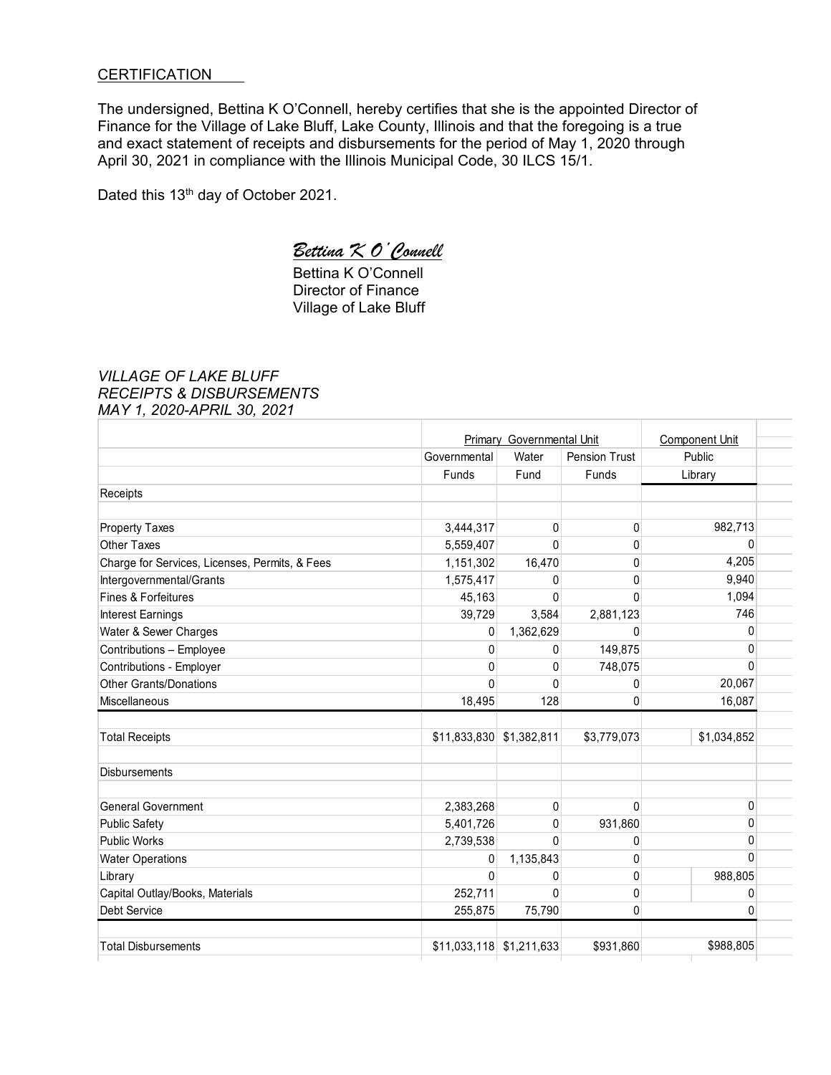## **CERTIFICATION**

The undersigned, Bettina K O'Connell, hereby certifies that she is the appointed Director of Finance for the Village of Lake Bluff, Lake County, Illinois and that the foregoing is a true and exact statement of receipts and disbursements for the period of May 1, 2020 through April 30, 2021 in compliance with the Illinois Municipal Code, 30 ILCS 15/1.

Dated this 13th day of October 2021.

# *Bettina K O'Connell*

 Bettina K O'Connell Director of Finance Village of Lake Bluff

## *VILLAGE OF LAKE BLUFF RECEIPTS & DISBURSEMENTS MAY 1, 2020-APRIL 30, 2021*

|                                                | <b>Primary Governmental Unit</b> |              |                      | <b>Component Unit</b> |
|------------------------------------------------|----------------------------------|--------------|----------------------|-----------------------|
|                                                | Governmental                     | Water        | <b>Pension Trust</b> | Public                |
|                                                | Funds                            | Fund         | Funds                | Library               |
| Receipts                                       |                                  |              |                      |                       |
| <b>Property Taxes</b>                          | 3,444,317                        | $\mathbf 0$  | 0                    | 982,713               |
| Other Taxes                                    | 5,559,407                        | $\Omega$     | 0                    | 0                     |
| Charge for Services, Licenses, Permits, & Fees | 1,151,302                        | 16,470       | 0                    | 4,205                 |
| Intergovernmental/Grants                       | 1,575,417                        | 0            | 0                    | 9,940                 |
| <b>Fines &amp; Forfeitures</b>                 | 45,163                           | $\mathbf{0}$ | 0                    | 1,094                 |
| Interest Earnings                              | 39,729                           | 3,584        | 2,881,123            | 746                   |
| Water & Sewer Charges                          | 0                                | 1,362,629    | 0                    | 0                     |
| Contributions - Employee                       | $\mathbf 0$                      | 0            | 149,875              | 0                     |
| Contributions - Employer                       | 0                                | $\mathbf{0}$ | 748,075              | $\Omega$              |
| <b>Other Grants/Donations</b>                  | $\mathbf{0}$                     | 0            | 0                    | 20,067                |
| Miscellaneous                                  | 18,495                           | 128          | 0                    | 16,087                |
| <b>Total Receipts</b>                          | \$11,833,830                     | \$1,382,811  | \$3,779,073          | \$1,034,852           |
| <b>Disbursements</b>                           |                                  |              |                      |                       |
| <b>General Government</b>                      | 2,383,268                        | 0            | 0                    | 0                     |
| <b>Public Safety</b>                           | 5,401,726                        | 0            | 931,860              | 0                     |
| <b>Public Works</b>                            | 2,739,538                        | 0            | 0                    | 0                     |
| <b>Water Operations</b>                        | 0                                | 1,135,843    | 0                    | $\Omega$              |
| Library                                        | $\Omega$                         | 0            | 0                    | 988,805               |
| Capital Outlay/Books, Materials                | 252,711                          | 0            | 0                    | 0                     |
|                                                | 255,875                          | 75,790       | 0                    | 0                     |
| Debt Service                                   |                                  |              |                      |                       |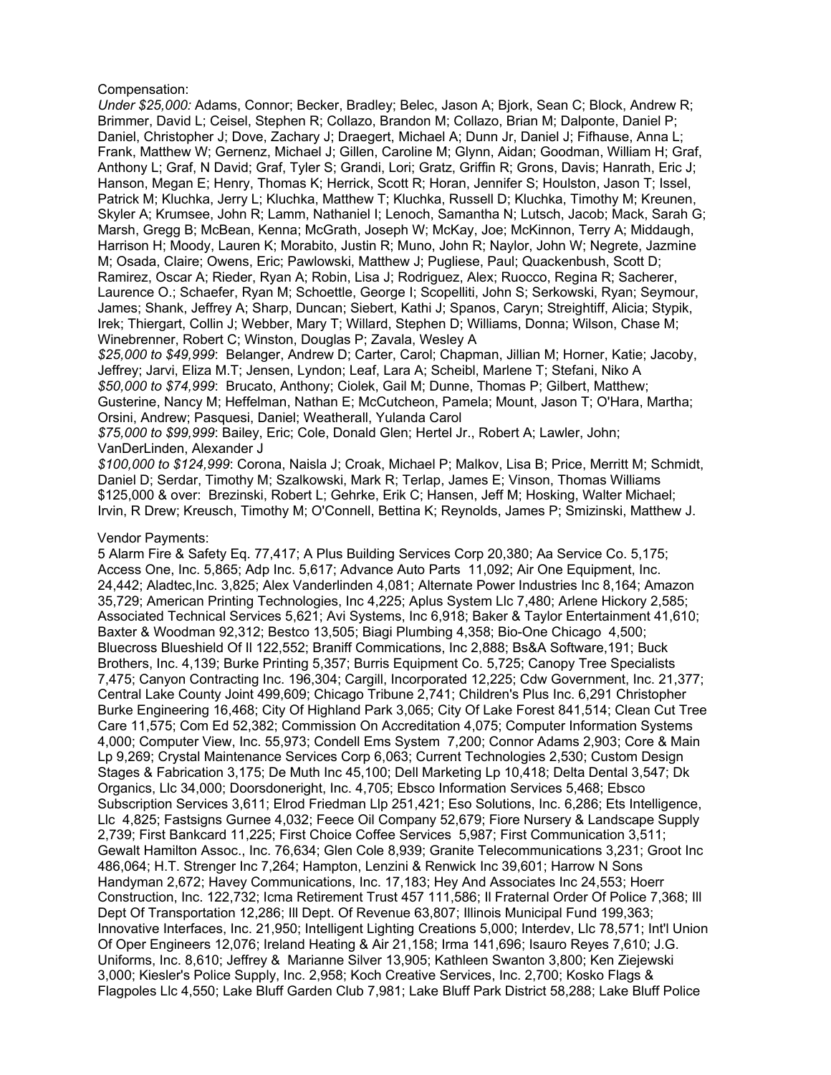### Compensation:

*Under \$25,000:* Adams, Connor; Becker, Bradley; Belec, Jason A; Bjork, Sean C; Block, Andrew R; Brimmer, David L; Ceisel, Stephen R; Collazo, Brandon M; Collazo, Brian M; Dalponte, Daniel P; Daniel, Christopher J; Dove, Zachary J; Draegert, Michael A; Dunn Jr, Daniel J; Fifhause, Anna L; Frank, Matthew W; Gernenz, Michael J; Gillen, Caroline M; Glynn, Aidan; Goodman, William H; Graf, Anthony L; Graf, N David; Graf, Tyler S; Grandi, Lori; Gratz, Griffin R; Grons, Davis; Hanrath, Eric J; Hanson, Megan E; Henry, Thomas K; Herrick, Scott R; Horan, Jennifer S; Houlston, Jason T; Issel, Patrick M; Kluchka, Jerry L; Kluchka, Matthew T; Kluchka, Russell D; Kluchka, Timothy M; Kreunen, Skyler A; Krumsee, John R; Lamm, Nathaniel I; Lenoch, Samantha N; Lutsch, Jacob; Mack, Sarah G; Marsh, Gregg B; McBean, Kenna; McGrath, Joseph W; McKay, Joe; McKinnon, Terry A; Middaugh, Harrison H; Moody, Lauren K; Morabito, Justin R; Muno, John R; Naylor, John W; Negrete, Jazmine M; Osada, Claire; Owens, Eric; Pawlowski, Matthew J; Pugliese, Paul; Quackenbush, Scott D; Ramirez, Oscar A; Rieder, Ryan A; Robin, Lisa J; Rodriguez, Alex; Ruocco, Regina R; Sacherer, Laurence O.; Schaefer, Ryan M; Schoettle, George I; Scopelliti, John S; Serkowski, Ryan; Seymour, James; Shank, Jeffrey A; Sharp, Duncan; Siebert, Kathi J; Spanos, Caryn; Streightiff, Alicia; Stypik, Irek; Thiergart, Collin J; Webber, Mary T; Willard, Stephen D; Williams, Donna; Wilson, Chase M; Winebrenner, Robert C; Winston, Douglas P; Zavala, Wesley A

*\$25,000 to \$49,999*: Belanger, Andrew D; Carter, Carol; Chapman, Jillian M; Horner, Katie; Jacoby, Jeffrey; Jarvi, Eliza M.T; Jensen, Lyndon; Leaf, Lara A; Scheibl, Marlene T; Stefani, Niko A *\$50,000 to \$74,999*: Brucato, Anthony; Ciolek, Gail M; Dunne, Thomas P; Gilbert, Matthew; Gusterine, Nancy M; Heffelman, Nathan E; McCutcheon, Pamela; Mount, Jason T; O'Hara, Martha; Orsini, Andrew; Pasquesi, Daniel; Weatherall, Yulanda Carol

*\$75,000 to \$99,999*: Bailey, Eric; Cole, Donald Glen; Hertel Jr., Robert A; Lawler, John; VanDerLinden, Alexander J

*\$100,000 to \$124,999*: Corona, Naisla J; Croak, Michael P; Malkov, Lisa B; Price, Merritt M; Schmidt, Daniel D; Serdar, Timothy M; Szalkowski, Mark R; Terlap, James E; Vinson, Thomas Williams \$125,000 & over: Brezinski, Robert L; Gehrke, Erik C; Hansen, Jeff M; Hosking, Walter Michael; Irvin, R Drew; Kreusch, Timothy M; O'Connell, Bettina K; Reynolds, James P; Smizinski, Matthew J.

#### Vendor Payments:

5 Alarm Fire & Safety Eq. 77,417; A Plus Building Services Corp 20,380; Aa Service Co. 5,175; Access One, Inc. 5,865; Adp Inc. 5,617; Advance Auto Parts 11,092; Air One Equipment, Inc. 24,442; Aladtec,Inc. 3,825; Alex Vanderlinden 4,081; Alternate Power Industries Inc 8,164; Amazon 35,729; American Printing Technologies, Inc 4,225; Aplus System Llc 7,480; Arlene Hickory 2,585; Associated Technical Services 5,621; Avi Systems, Inc 6,918; Baker & Taylor Entertainment 41,610; Baxter & Woodman 92,312; Bestco 13,505; Biagi Plumbing 4,358; Bio-One Chicago 4,500; Bluecross Blueshield Of Il 122,552; Braniff Commications, Inc 2,888; Bs&A Software,191; Buck Brothers, Inc. 4,139; Burke Printing 5,357; Burris Equipment Co. 5,725; Canopy Tree Specialists 7,475; Canyon Contracting Inc. 196,304; Cargill, Incorporated 12,225; Cdw Government, Inc. 21,377; Central Lake County Joint 499,609; Chicago Tribune 2,741; Children's Plus Inc. 6,291 Christopher Burke Engineering 16,468; City Of Highland Park 3,065; City Of Lake Forest 841,514; Clean Cut Tree Care 11,575; Com Ed 52,382; Commission On Accreditation 4,075; Computer Information Systems 4,000; Computer View, Inc. 55,973; Condell Ems System 7,200; Connor Adams 2,903; Core & Main Lp 9,269; Crystal Maintenance Services Corp 6,063; Current Technologies 2,530; Custom Design Stages & Fabrication 3,175; De Muth Inc 45,100; Dell Marketing Lp 10,418; Delta Dental 3,547; Dk Organics, Llc 34,000; Doorsdoneright, Inc. 4,705; Ebsco Information Services 5,468; Ebsco Subscription Services 3,611; Elrod Friedman Llp 251,421; Eso Solutions, Inc. 6,286; Ets Intelligence, Llc 4,825; Fastsigns Gurnee 4,032; Feece Oil Company 52,679; Fiore Nursery & Landscape Supply 2,739; First Bankcard 11,225; First Choice Coffee Services 5,987; First Communication 3,511; Gewalt Hamilton Assoc., Inc. 76,634; Glen Cole 8,939; Granite Telecommunications 3,231; Groot Inc 486,064; H.T. Strenger Inc 7,264; Hampton, Lenzini & Renwick Inc 39,601; Harrow N Sons Handyman 2,672; Havey Communications, Inc. 17,183; Hey And Associates Inc 24,553; Hoerr Construction, Inc. 122,732; Icma Retirement Trust 457 111,586; Il Fraternal Order Of Police 7,368; Ill Dept Of Transportation 12,286; Ill Dept. Of Revenue 63,807; Illinois Municipal Fund 199,363; Innovative Interfaces, Inc. 21,950; Intelligent Lighting Creations 5,000; Interdev, Llc 78,571; Int'l Union Of Oper Engineers 12,076; Ireland Heating & Air 21,158; Irma 141,696; Isauro Reyes 7,610; J.G. Uniforms, Inc. 8,610; Jeffrey & Marianne Silver 13,905; Kathleen Swanton 3,800; Ken Ziejewski 3,000; Kiesler's Police Supply, Inc. 2,958; Koch Creative Services, Inc. 2,700; Kosko Flags & Flagpoles Llc 4,550; Lake Bluff Garden Club 7,981; Lake Bluff Park District 58,288; Lake Bluff Police